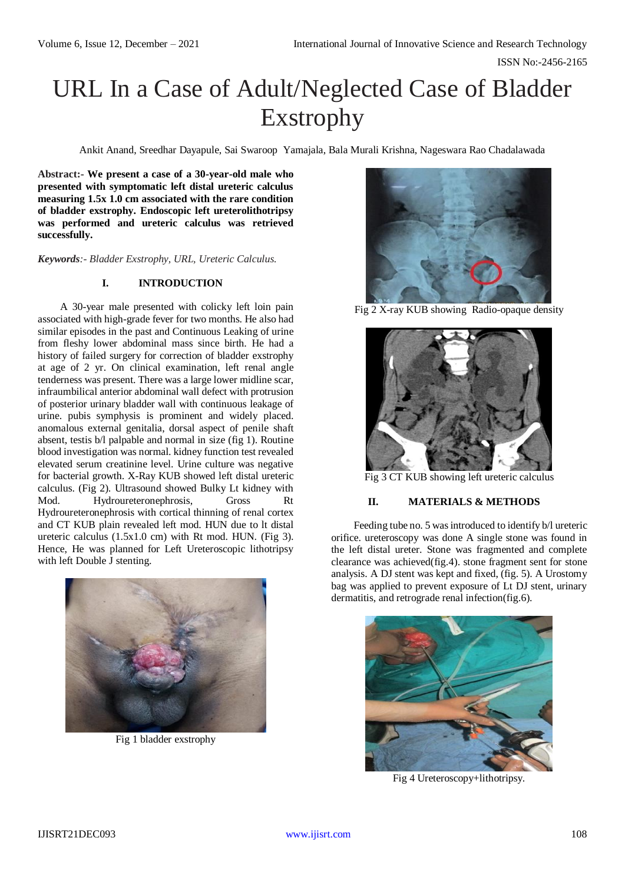# URL In a Case of Adult/Neglected Case of Bladder Exstrophy

Ankit Anand, Sreedhar Dayapule, Sai Swaroop Yamajala, Bala Murali Krishna, Nageswara Rao Chadalawada

**Abstract:- We present a case of a 30-year-old male who presented with symptomatic left distal ureteric calculus measuring 1.5x 1.0 cm associated with the rare condition of bladder exstrophy. Endoscopic left ureterolithotripsy was performed and ureteric calculus was retrieved successfully.**

*Keywords:- Bladder Exstrophy, URL, Ureteric Calculus.*

## **I. INTRODUCTION**

A 30-year male presented with colicky left loin pain associated with high-grade fever for two months. He also had similar episodes in the past and Continuous Leaking of urine from fleshy lower abdominal mass since birth. He had a history of failed surgery for correction of bladder exstrophy at age of 2 yr. On clinical examination, left renal angle tenderness was present. There was a large lower midline scar, infraumbilical anterior abdominal wall defect with protrusion of posterior urinary bladder wall with continuous leakage of urine. pubis symphysis is prominent and widely placed. anomalous external genitalia, dorsal aspect of penile shaft absent, testis b/l palpable and normal in size (fig 1). Routine blood investigation was normal. kidney function test revealed elevated serum creatinine level. Urine culture was negative for bacterial growth. X-Ray KUB showed left distal ureteric calculus. (Fig 2). Ultrasound showed Bulky Lt kidney with Mod. Hydroureteronephrosis, Gross Rt Hydroureteronephrosis with cortical thinning of renal cortex and CT KUB plain revealed left mod. HUN due to lt distal ureteric calculus (1.5x1.0 cm) with Rt mod. HUN. (Fig 3). Hence, He was planned for Left Ureteroscopic lithotripsy with left Double J stenting.



Fig 1 bladder exstrophy



Fig 2 X-ray KUB showing Radio-opaque density



Fig 3 CT KUB showing left ureteric calculus

### **II. MATERIALS & METHODS**

Feeding tube no. 5 was introduced to identify b/l ureteric orifice. ureteroscopy was done A single stone was found in the left distal ureter. Stone was fragmented and complete clearance was achieved(fig.4). stone fragment sent for stone analysis. A DJ stent was kept and fixed, (fig. 5). A Urostomy bag was applied to prevent exposure of Lt DJ stent, urinary dermatitis, and retrograde renal infection(fig.6).



Fig 4 Ureteroscopy+lithotripsy.